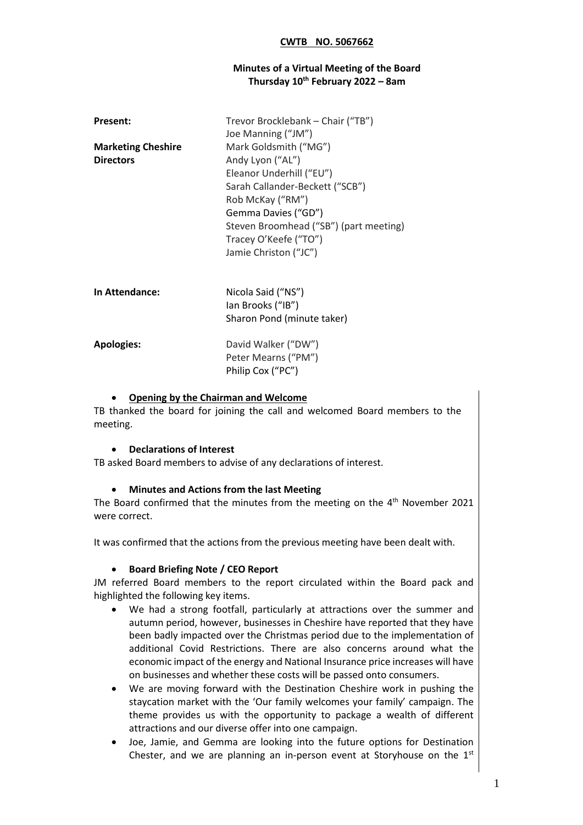### **Minutes of a Virtual Meeting of the Board Thursday 10th February 2022 – 8am**

| <b>Present:</b>                               | Trevor Brocklebank - Chair ("TB")<br>Joe Manning ("JM")                                                                                                                                                                                         |
|-----------------------------------------------|-------------------------------------------------------------------------------------------------------------------------------------------------------------------------------------------------------------------------------------------------|
| <b>Marketing Cheshire</b><br><b>Directors</b> | Mark Goldsmith ("MG")<br>Andy Lyon ("AL")<br>Eleanor Underhill ("EU")<br>Sarah Callander-Beckett ("SCB")<br>Rob McKay ("RM")<br>Gemma Davies ("GD")<br>Steven Broomhead ("SB") (part meeting)<br>Tracey O'Keefe ("TO")<br>Jamie Christon ("JC") |
| In Attendance:                                | Nicola Said ("NS")<br>lan Brooks ("IB")<br>Sharon Pond (minute taker)                                                                                                                                                                           |
| <b>Apologies:</b>                             | David Walker ("DW")<br>Peter Mearns ("PM")<br>Philip Cox ("PC")                                                                                                                                                                                 |

### • **Opening by the Chairman and Welcome**

TB thanked the board for joining the call and welcomed Board members to the meeting.

#### • **Declarations of Interest**

TB asked Board members to advise of any declarations of interest.

#### • **Minutes and Actions from the last Meeting**

The Board confirmed that the minutes from the meeting on the  $4<sup>th</sup>$  November 2021 were correct.

It was confirmed that the actions from the previous meeting have been dealt with.

#### • **Board Briefing Note / CEO Report**

JM referred Board members to the report circulated within the Board pack and highlighted the following key items.

- We had a strong footfall, particularly at attractions over the summer and autumn period, however, businesses in Cheshire have reported that they have been badly impacted over the Christmas period due to the implementation of additional Covid Restrictions. There are also concerns around what the economic impact of the energy and National Insurance price increases will have on businesses and whether these costs will be passed onto consumers.
- We are moving forward with the Destination Cheshire work in pushing the staycation market with the 'Our family welcomes your family' campaign. The theme provides us with the opportunity to package a wealth of different attractions and our diverse offer into one campaign.
- Joe, Jamie, and Gemma are looking into the future options for Destination Chester, and we are planning an in-person event at Storyhouse on the  $1<sup>st</sup>$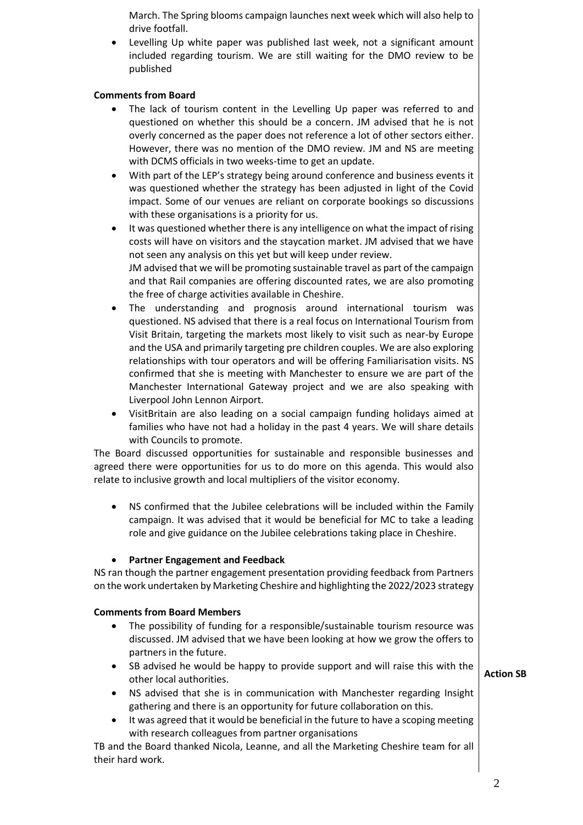March. The Spring blooms campaign launches next week which will also help to drive footfall.

Levelling Up white paper was published last week, not a significant amount included regarding tourism. We are still waiting for the DMO review to be published

# **Comments from Board**

- The lack of tourism content in the Levelling Up paper was referred to and questioned on whether this should be a concern. JM advised that he is not overly concerned as the paper does not reference a lot of other sectors either. However, there was no mention of the DMO review. JM and NS are meeting with DCMS officials in two weeks-time to get an update.
- With part of the LEP's strategy being around conference and business events it was questioned whether the strategy has been adjusted in light of the Covid impact. Some of our venues are reliant on corporate bookings so discussions with these organisations is a priority for us.
- It was questioned whether there is any intelligence on what the impact of rising costs will have on visitors and the staycation market. JM advised that we have not seen any analysis on this yet but will keep under review. JM advised that we will be promoting sustainable travel as part of the campaign and that Rail companies are offering discounted rates, we are also promoting the free of charge activities available in Cheshire.
- The understanding and prognosis around international tourism was questioned. NS advised that there is a real focus on International Tourism from Visit Britain, targeting the markets most likely to visit such as near-by Europe and the USA and primarily targeting pre children couples. We are also exploring relationships with tour operators and will be offering Familiarisation visits. NS confirmed that she is meeting with Manchester to ensure we are part of the Manchester International Gateway project and we are also speaking with Liverpool John Lennon Airport.
- VisitBritain are also leading on a social campaign funding holidays aimed at families who have not had a holiday in the past 4 years. We will share details with Councils to promote.

The Board discussed opportunities for sustainable and responsible businesses and agreed there were opportunities for us to do more on this agenda. This would also relate to inclusive growth and local multipliers of the visitor economy.

• NS confirmed that the Jubilee celebrations will be included within the Family campaign. It was advised that it would be beneficial for MC to take a leading role and give guidance on the Jubilee celebrations taking place in Cheshire.

# • **Partner Engagement and Feedback**

NS ran though the partner engagement presentation providing feedback from Partners on the work undertaken by Marketing Cheshire and highlighting the 2022/2023 strategy

# **Comments from Board Members**

- The possibility of funding for a responsible/sustainable tourism resource was discussed. JM advised that we have been looking at how we grow the offers to partners in the future.
- SB advised he would be happy to provide support and will raise this with the other local authorities. **Action SB**
- NS advised that she is in communication with Manchester regarding Insight gathering and there is an opportunity for future collaboration on this.
- It was agreed that it would be beneficial in the future to have a scoping meeting with research colleagues from partner organisations

TB and the Board thanked Nicola, Leanne, and all the Marketing Cheshire team for all their hard work.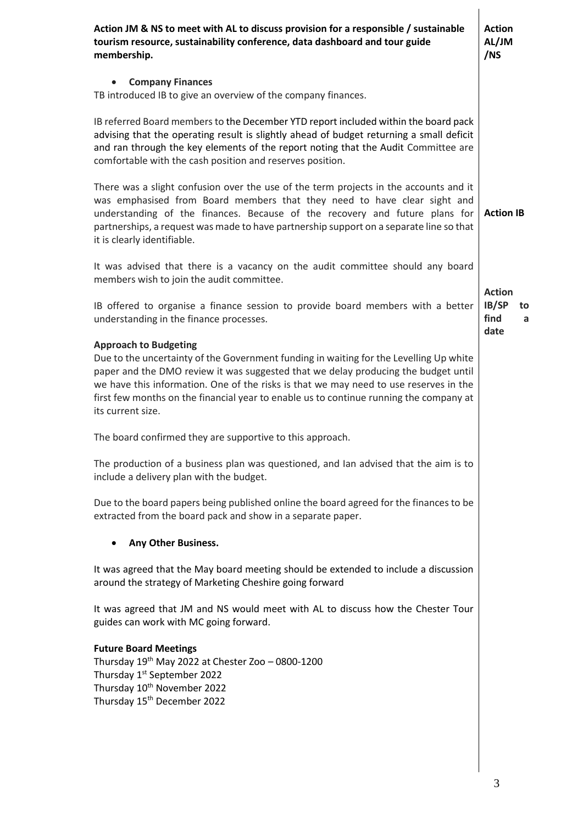| Action JM & NS to meet with AL to discuss provision for a responsible / sustainable<br>tourism resource, sustainability conference, data dashboard and tour guide<br>membership.                                                                                                                                                                                                                                     | <b>Action</b><br>AL/JM<br>/NS    |
|----------------------------------------------------------------------------------------------------------------------------------------------------------------------------------------------------------------------------------------------------------------------------------------------------------------------------------------------------------------------------------------------------------------------|----------------------------------|
| <b>Company Finances</b>                                                                                                                                                                                                                                                                                                                                                                                              |                                  |
| TB introduced IB to give an overview of the company finances.                                                                                                                                                                                                                                                                                                                                                        |                                  |
| IB referred Board members to the December YTD report included within the board pack<br>advising that the operating result is slightly ahead of budget returning a small deficit<br>and ran through the key elements of the report noting that the Audit Committee are<br>comfortable with the cash position and reserves position.                                                                                   |                                  |
| There was a slight confusion over the use of the term projects in the accounts and it<br>was emphasised from Board members that they need to have clear sight and<br>understanding of the finances. Because of the recovery and future plans for<br>partnerships, a request was made to have partnership support on a separate line so that<br>it is clearly identifiable.                                           | <b>Action IB</b>                 |
| It was advised that there is a vacancy on the audit committee should any board<br>members wish to join the audit committee.                                                                                                                                                                                                                                                                                          | <b>Action</b>                    |
| IB offered to organise a finance session to provide board members with a better<br>understanding in the finance processes.                                                                                                                                                                                                                                                                                           | IB/SP<br>to<br>find<br>a<br>date |
| <b>Approach to Budgeting</b><br>Due to the uncertainty of the Government funding in waiting for the Levelling Up white<br>paper and the DMO review it was suggested that we delay producing the budget until<br>we have this information. One of the risks is that we may need to use reserves in the<br>first few months on the financial year to enable us to continue running the company at<br>its current size. |                                  |
| The board confirmed they are supportive to this approach.                                                                                                                                                                                                                                                                                                                                                            |                                  |
| The production of a business plan was questioned, and Ian advised that the aim is to<br>include a delivery plan with the budget.                                                                                                                                                                                                                                                                                     |                                  |
| Due to the board papers being published online the board agreed for the finances to be<br>extracted from the board pack and show in a separate paper.                                                                                                                                                                                                                                                                |                                  |
| Any Other Business.                                                                                                                                                                                                                                                                                                                                                                                                  |                                  |
| It was agreed that the May board meeting should be extended to include a discussion<br>around the strategy of Marketing Cheshire going forward                                                                                                                                                                                                                                                                       |                                  |
| It was agreed that JM and NS would meet with AL to discuss how the Chester Tour<br>guides can work with MC going forward.                                                                                                                                                                                                                                                                                            |                                  |
| <b>Future Board Meetings</b><br>Thursday $19^{th}$ May 2022 at Chester Zoo - 0800-1200<br>Thursday 1 <sup>st</sup> September 2022<br>Thursday 10 <sup>th</sup> November 2022<br>Thursday 15 <sup>th</sup> December 2022                                                                                                                                                                                              |                                  |
|                                                                                                                                                                                                                                                                                                                                                                                                                      |                                  |